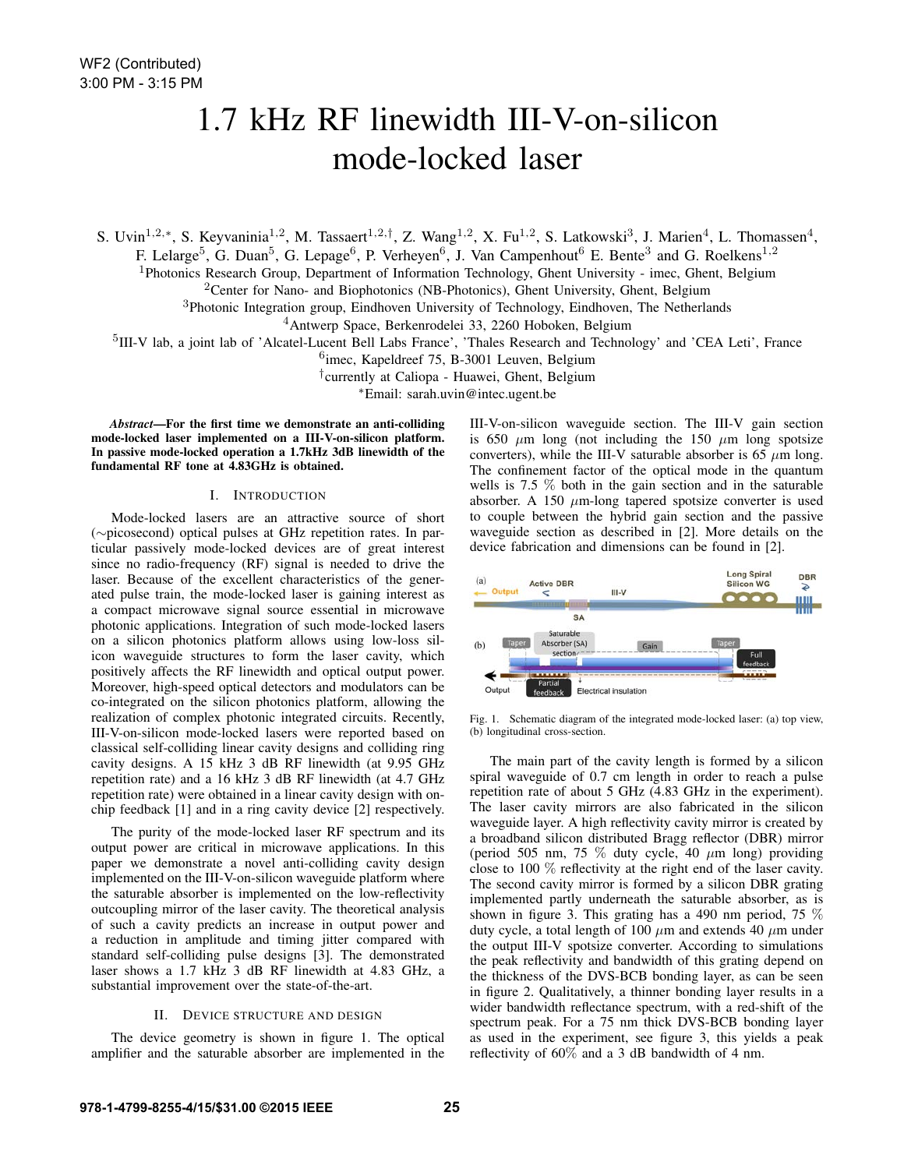# 1.7 kHz RF linewidth III-V-on-silicon mode-locked laser

S. Uvin<sup>1,2,∗</sup>, S. Keyvaninia<sup>1,2</sup>, M. Tassaert<sup>1,2,†</sup>, Z. Wang<sup>1,2</sup>, X. Fu<sup>1,2</sup>, S. Latkowski<sup>3</sup>, J. Marien<sup>4</sup>, L. Thomassen<sup>4</sup>,

F. Lelarge<sup>5</sup>, G. Duan<sup>5</sup>, G. Lepage<sup>6</sup>, P. Verheyen<sup>6</sup>, J. Van Campenhout<sup>6</sup> E. Bente<sup>3</sup> and G. Roelkens<sup>1,2</sup>

<sup>1</sup>Photonics Research Group, Department of Information Technology, Ghent University - imec, Ghent, Belgium

<sup>2</sup>Center for Nano- and Biophotonics (NB-Photonics), Ghent University, Ghent, Belgium

<sup>3</sup>Photonic Integration group, Eindhoven University of Technology, Eindhoven, The Netherlands

<sup>4</sup>Antwerp Space, Berkenrodelei 33, 2260 Hoboken, Belgium

<sup>5</sup>III-V lab, a joint lab of 'Alcatel-Lucent Bell Labs France', 'Thales Research and Technology' and 'CEA Leti', France

<sup>6</sup>imec, Kapeldreef 75, B-3001 Leuven, Belgium

†currently at Caliopa - Huawei, Ghent, Belgium

<sup>∗</sup>Email: sarah.uvin@intec.ugent.be

*Abstract*—For the first time we demonstrate an anti-colliding mode-locked laser implemented on a III-V-on-silicon platform. In passive mode-locked operation a 1.7kHz 3dB linewidth of the fundamental RF tone at 4.83GHz is obtained.

## I. INTRODUCTION

Mode-locked lasers are an attractive source of short (∼picosecond) optical pulses at GHz repetition rates. In particular passively mode-locked devices are of great interest since no radio-frequency (RF) signal is needed to drive the laser. Because of the excellent characteristics of the generated pulse train, the mode-locked laser is gaining interest as a compact microwave signal source essential in microwave photonic applications. Integration of such mode-locked lasers on a silicon photonics platform allows using low-loss silicon waveguide structures to form the laser cavity, which positively affects the RF linewidth and optical output power. Moreover, high-speed optical detectors and modulators can be co-integrated on the silicon photonics platform, allowing the realization of complex photonic integrated circuits. Recently, III-V-on-silicon mode-locked lasers were reported based on classical self-colliding linear cavity designs and colliding ring cavity designs. A 15 kHz 3 dB RF linewidth (at 9.95 GHz repetition rate) and a 16 kHz 3 dB RF linewidth (at 4.7 GHz repetition rate) were obtained in a linear cavity design with onchip feedback [1] and in a ring cavity device [2] respectively.

The purity of the mode-locked laser RF spectrum and its output power are critical in microwave applications. In this paper we demonstrate a novel anti-colliding cavity design implemented on the III-V-on-silicon waveguide platform where the saturable absorber is implemented on the low-reflectivity outcoupling mirror of the laser cavity. The theoretical analysis of such a cavity predicts an increase in output power and a reduction in amplitude and timing jitter compared with standard self-colliding pulse designs [3]. The demonstrated laser shows a 1.7 kHz 3 dB RF linewidth at 4.83 GHz, a substantial improvement over the state-of-the-art.

### II. DEVICE STRUCTURE AND DESIGN

The device geometry is shown in figure 1. The optical amplifier and the saturable absorber are implemented in the III-V-on-silicon waveguide section. The III-V gain section is 650  $\mu$ m long (not including the 150  $\mu$ m long spotsize converters), while the III-V saturable absorber is 65  $\mu$ m long. The confinement factor of the optical mode in the quantum wells is 7.5 % both in the gain section and in the saturable absorber. A 150  $\mu$ m-long tapered spotsize converter is used to couple between the hybrid gain section and the passive waveguide section as described in [2]. More details on the device fabrication and dimensions can be found in [2].



Fig. 1. Schematic diagram of the integrated mode-locked laser: (a) top view, (b) longitudinal cross-section.

The main part of the cavity length is formed by a silicon spiral waveguide of 0.7 cm length in order to reach a pulse repetition rate of about 5 GHz (4.83 GHz in the experiment). The laser cavity mirrors are also fabricated in the silicon waveguide layer. A high reflectivity cavity mirror is created by a broadband silicon distributed Bragg reflector (DBR) mirror (period 505 nm, 75  $\%$  duty cycle, 40  $\mu$ m long) providing close to 100 % reflectivity at the right end of the laser cavity. The second cavity mirror is formed by a silicon DBR grating implemented partly underneath the saturable absorber, as is shown in figure 3. This grating has a 490 nm period, 75 % duty cycle, a total length of 100  $\mu$ m and extends 40  $\mu$ m under the output III-V spotsize converter. According to simulations the peak reflectivity and bandwidth of this grating depend on the thickness of the DVS-BCB bonding layer, as can be seen in figure 2. Qualitatively, a thinner bonding layer results in a wider bandwidth reflectance spectrum, with a red-shift of the spectrum peak. For a 75 nm thick DVS-BCB bonding layer as used in the experiment, see figure 3, this yields a peak reflectivity of  $60\%$  and a 3 dB bandwidth of 4 nm.